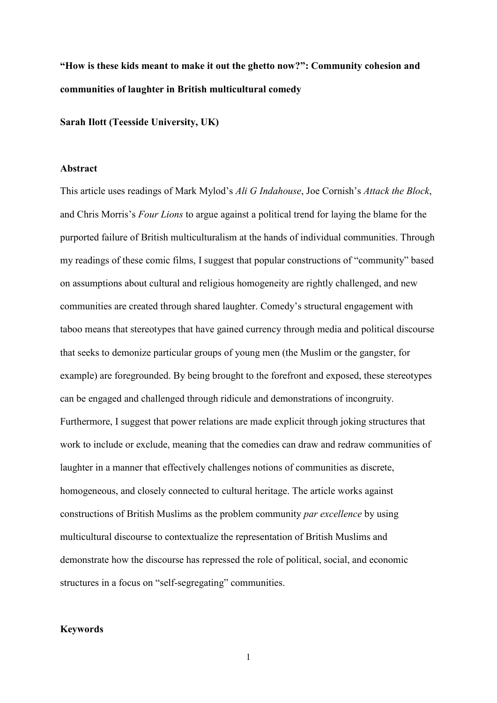**"How is these kids meant to make it out the ghetto now?": Community cohesion and communities of laughter in British multicultural comedy** 

## **Sarah Ilott (Teesside University, UK)**

## **Abstract**

This article uses readings of Mark Mylod's *Ali G Indahouse*, Joe Cornish's *Attack the Block*, and Chris Morris's *Four Lions* to argue against a political trend for laying the blame for the purported failure of British multiculturalism at the hands of individual communities. Through my readings of these comic films, I suggest that popular constructions of "community" based on assumptions about cultural and religious homogeneity are rightly challenged, and new communities are created through shared laughter. Comedy's structural engagement with taboo means that stereotypes that have gained currency through media and political discourse that seeks to demonize particular groups of young men (the Muslim or the gangster, for example) are foregrounded. By being brought to the forefront and exposed, these stereotypes can be engaged and challenged through ridicule and demonstrations of incongruity. Furthermore, I suggest that power relations are made explicit through joking structures that work to include or exclude, meaning that the comedies can draw and redraw communities of laughter in a manner that effectively challenges notions of communities as discrete, homogeneous, and closely connected to cultural heritage. The article works against constructions of British Muslims as the problem community *par excellence* by using multicultural discourse to contextualize the representation of British Muslims and demonstrate how the discourse has repressed the role of political, social, and economic structures in a focus on "self-segregating" communities.

## **Keywords**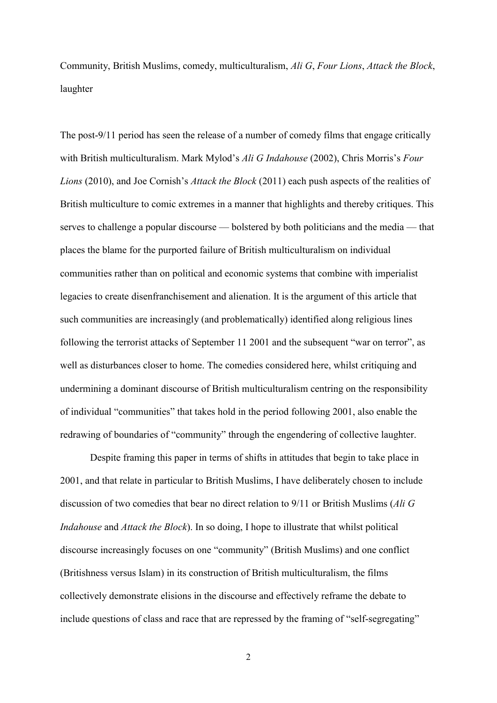Community, British Muslims, comedy, multiculturalism, *Ali G*, *Four Lions*, *Attack the Block*, laughter

The post-9/11 period has seen the release of a number of comedy films that engage critically with British multiculturalism. Mark Mylod's *Ali G Indahouse* (2002), Chris Morris's *Four Lions* (2010), and Joe Cornish's *Attack the Block* (2011) each push aspects of the realities of British multiculture to comic extremes in a manner that highlights and thereby critiques. This serves to challenge a popular discourse — bolstered by both politicians and the media — that places the blame for the purported failure of British multiculturalism on individual communities rather than on political and economic systems that combine with imperialist legacies to create disenfranchisement and alienation. It is the argument of this article that such communities are increasingly (and problematically) identified along religious lines following the terrorist attacks of September 11 2001 and the subsequent "war on terror", as well as disturbances closer to home. The comedies considered here, whilst critiquing and undermining a dominant discourse of British multiculturalism centring on the responsibility of individual "communities" that takes hold in the period following 2001, also enable the redrawing of boundaries of "community" through the engendering of collective laughter.

Despite framing this paper in terms of shifts in attitudes that begin to take place in 2001, and that relate in particular to British Muslims, I have deliberately chosen to include discussion of two comedies that bear no direct relation to 9/11 or British Muslims (*Ali G Indahouse* and *Attack the Block*). In so doing, I hope to illustrate that whilst political discourse increasingly focuses on one "community" (British Muslims) and one conflict (Britishness versus Islam) in its construction of British multiculturalism, the films collectively demonstrate elisions in the discourse and effectively reframe the debate to include questions of class and race that are repressed by the framing of "self-segregating"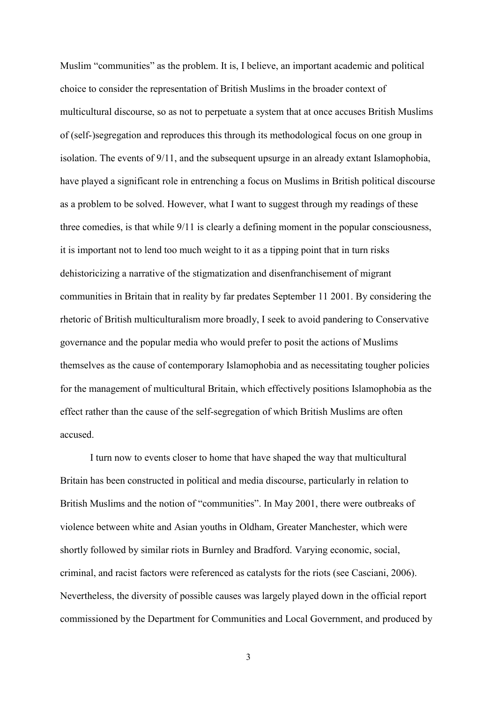Muslim "communities" as the problem. It is, I believe, an important academic and political choice to consider the representation of British Muslims in the broader context of multicultural discourse, so as not to perpetuate a system that at once accuses British Muslims of (self-)segregation and reproduces this through its methodological focus on one group in isolation. The events of 9/11, and the subsequent upsurge in an already extant Islamophobia, have played a significant role in entrenching a focus on Muslims in British political discourse as a problem to be solved. However, what I want to suggest through my readings of these three comedies, is that while 9/11 is clearly a defining moment in the popular consciousness, it is important not to lend too much weight to it as a tipping point that in turn risks dehistoricizing a narrative of the stigmatization and disenfranchisement of migrant communities in Britain that in reality by far predates September 11 2001. By considering the rhetoric of British multiculturalism more broadly, I seek to avoid pandering to Conservative governance and the popular media who would prefer to posit the actions of Muslims themselves as the cause of contemporary Islamophobia and as necessitating tougher policies for the management of multicultural Britain, which effectively positions Islamophobia as the effect rather than the cause of the self-segregation of which British Muslims are often accused.

I turn now to events closer to home that have shaped the way that multicultural Britain has been constructed in political and media discourse, particularly in relation to British Muslims and the notion of "communities". In May 2001, there were outbreaks of violence between white and Asian youths in Oldham, Greater Manchester, which were shortly followed by similar riots in Burnley and Bradford. Varying economic, social, criminal, and racist factors were referenced as catalysts for the riots (see Casciani, 2006). Nevertheless, the diversity of possible causes was largely played down in the official report commissioned by the Department for Communities and Local Government, and produced by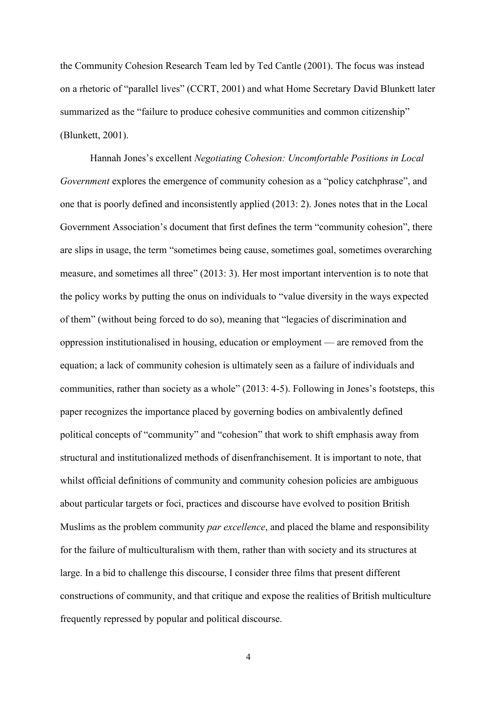the Community Cohesion Research Team led by Ted Cantle (2001). The focus was instead on a rhetoric of "parallel lives" (CCRT, 2001) and what Home Secretary David Blunkett later summarized as the "failure to produce cohesive communities and common citizenship" (Blunkett, 2001).

Hannah Jones's excellent *Negotiating Cohesion: Uncomfortable Positions in Local Government* explores the emergence of community cohesion as a "policy catchphrase", and one that is poorly defined and inconsistently applied (2013: 2). Jones notes that in the Local Government Association's document that first defines the term "community cohesion", there are slips in usage, the term "sometimes being cause, sometimes goal, sometimes overarching measure, and sometimes all three" (2013: 3). Her most important intervention is to note that the policy works by putting the onus on individuals to "value diversity in the ways expected of them" (without being forced to do so), meaning that "legacies of discrimination and oppression institutionalised in housing, education or employment — are removed from the equation; a lack of community cohesion is ultimately seen as a failure of individuals and communities, rather than society as a whole" (2013: 4-5). Following in Jones's footsteps, this paper recognizes the importance placed by governing bodies on ambivalently defined political concepts of "community" and "cohesion" that work to shift emphasis away from structural and institutionalized methods of disenfranchisement. It is important to note, that whilst official definitions of community and community cohesion policies are ambiguous about particular targets or foci, practices and discourse have evolved to position British Muslims as the problem community *par excellence*, and placed the blame and responsibility for the failure of multiculturalism with them, rather than with society and its structures at large. In a bid to challenge this discourse, I consider three films that present different constructions of community, and that critique and expose the realities of British multiculture frequently repressed by popular and political discourse.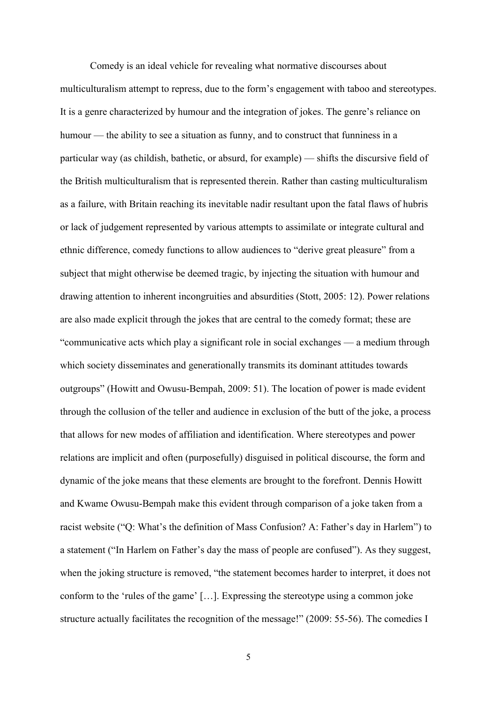Comedy is an ideal vehicle for revealing what normative discourses about multiculturalism attempt to repress, due to the form's engagement with taboo and stereotypes. It is a genre characterized by humour and the integration of jokes. The genre's reliance on humour — the ability to see a situation as funny, and to construct that funniness in a particular way (as childish, bathetic, or absurd, for example) — shifts the discursive field of the British multiculturalism that is represented therein. Rather than casting multiculturalism as a failure, with Britain reaching its inevitable nadir resultant upon the fatal flaws of hubris or lack of judgement represented by various attempts to assimilate or integrate cultural and ethnic difference, comedy functions to allow audiences to "derive great pleasure" from a subject that might otherwise be deemed tragic, by injecting the situation with humour and drawing attention to inherent incongruities and absurdities (Stott, 2005: 12). Power relations are also made explicit through the jokes that are central to the comedy format; these are "communicative acts which play a significant role in social exchanges — a medium through which society disseminates and generationally transmits its dominant attitudes towards outgroups" (Howitt and Owusu-Bempah, 2009: 51). The location of power is made evident through the collusion of the teller and audience in exclusion of the butt of the joke, a process that allows for new modes of affiliation and identification. Where stereotypes and power relations are implicit and often (purposefully) disguised in political discourse, the form and dynamic of the joke means that these elements are brought to the forefront. Dennis Howitt and Kwame Owusu-Bempah make this evident through comparison of a joke taken from a racist website ("Q: What's the definition of Mass Confusion? A: Father's day in Harlem") to a statement ("In Harlem on Father's day the mass of people are confused"). As they suggest, when the joking structure is removed, "the statement becomes harder to interpret, it does not conform to the 'rules of the game' […]. Expressing the stereotype using a common joke structure actually facilitates the recognition of the message!" (2009: 55-56). The comedies I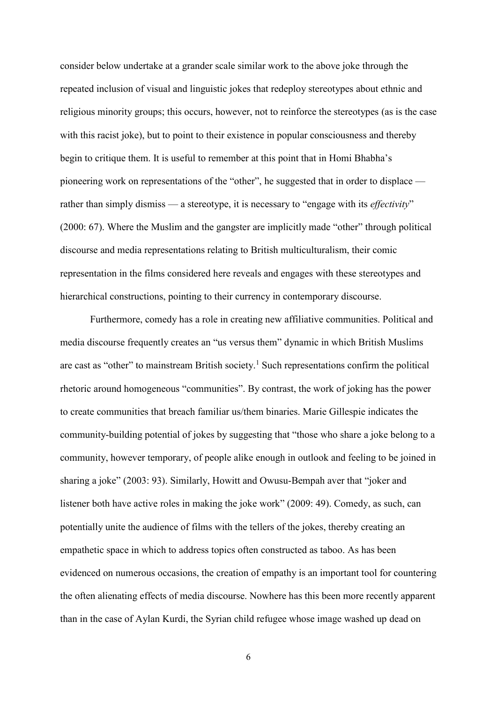consider below undertake at a grander scale similar work to the above joke through the repeated inclusion of visual and linguistic jokes that redeploy stereotypes about ethnic and religious minority groups; this occurs, however, not to reinforce the stereotypes (as is the case with this racist joke), but to point to their existence in popular consciousness and thereby begin to critique them. It is useful to remember at this point that in Homi Bhabha's pioneering work on representations of the "other", he suggested that in order to displace rather than simply dismiss — a stereotype, it is necessary to "engage with its *effectivity*" (2000: 67). Where the Muslim and the gangster are implicitly made "other" through political discourse and media representations relating to British multiculturalism, their comic representation in the films considered here reveals and engages with these stereotypes and hierarchical constructions, pointing to their currency in contemporary discourse.

Furthermore, comedy has a role in creating new affiliative communities. Political and media discourse frequently creates an "us versus them" dynamic in which British Muslims are cast as "other" to mainstream British society.<sup>1</sup> Such representations confirm the political rhetoric around homogeneous "communities". By contrast, the work of joking has the power to create communities that breach familiar us/them binaries. Marie Gillespie indicates the community-building potential of jokes by suggesting that "those who share a joke belong to a community, however temporary, of people alike enough in outlook and feeling to be joined in sharing a joke" (2003: 93). Similarly, Howitt and Owusu-Bempah aver that "joker and listener both have active roles in making the joke work" (2009: 49). Comedy, as such, can potentially unite the audience of films with the tellers of the jokes, thereby creating an empathetic space in which to address topics often constructed as taboo. As has been evidenced on numerous occasions, the creation of empathy is an important tool for countering the often alienating effects of media discourse. Nowhere has this been more recently apparent than in the case of Aylan Kurdi, the Syrian child refugee whose image washed up dead on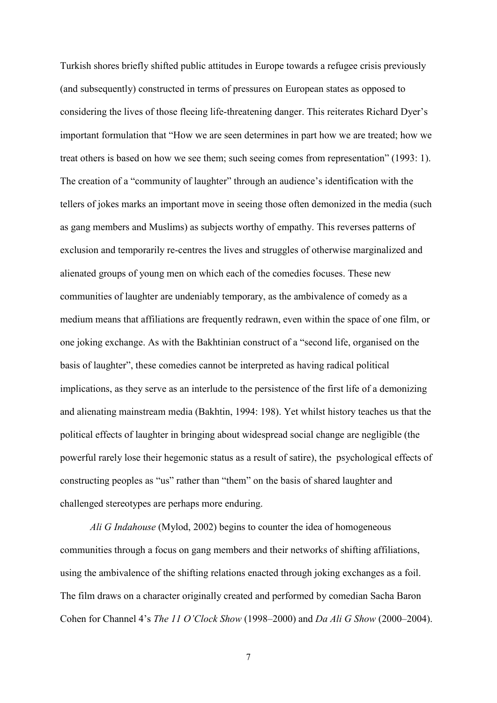Turkish shores briefly shifted public attitudes in Europe towards a refugee crisis previously (and subsequently) constructed in terms of pressures on European states as opposed to considering the lives of those fleeing life-threatening danger. This reiterates Richard Dyer's important formulation that "How we are seen determines in part how we are treated; how we treat others is based on how we see them; such seeing comes from representation" (1993: 1). The creation of a "community of laughter" through an audience's identification with the tellers of jokes marks an important move in seeing those often demonized in the media (such as gang members and Muslims) as subjects worthy of empathy. This reverses patterns of exclusion and temporarily re-centres the lives and struggles of otherwise marginalized and alienated groups of young men on which each of the comedies focuses. These new communities of laughter are undeniably temporary, as the ambivalence of comedy as a medium means that affiliations are frequently redrawn, even within the space of one film, or one joking exchange. As with the Bakhtinian construct of a "second life, organised on the basis of laughter", these comedies cannot be interpreted as having radical political implications, as they serve as an interlude to the persistence of the first life of a demonizing and alienating mainstream media (Bakhtin, 1994: 198). Yet whilst history teaches us that the political effects of laughter in bringing about widespread social change are negligible (the powerful rarely lose their hegemonic status as a result of satire), the psychological effects of constructing peoples as "us" rather than "them" on the basis of shared laughter and challenged stereotypes are perhaps more enduring.

*Ali G Indahouse* (Mylod, 2002) begins to counter the idea of homogeneous communities through a focus on gang members and their networks of shifting affiliations, using the ambivalence of the shifting relations enacted through joking exchanges as a foil. The film draws on a character originally created and performed by comedian Sacha Baron Cohen for Channel 4's *The 11 O'Clock Show* (1998–2000) and *Da Ali G Show* (2000–2004).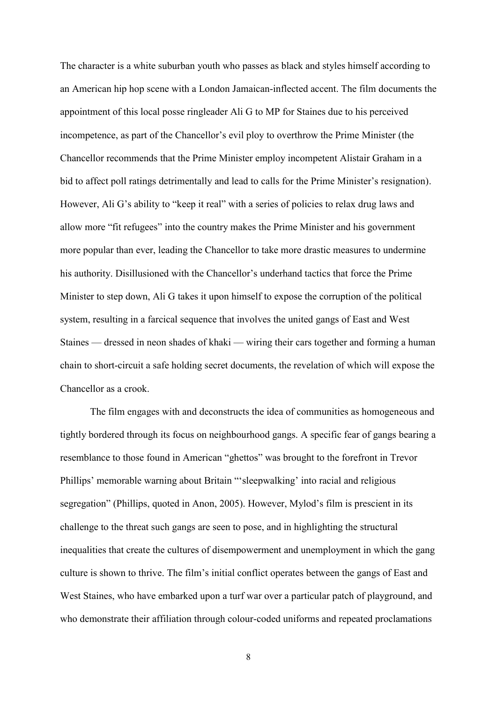The character is a white suburban youth who passes as black and styles himself according to an American hip hop scene with a London Jamaican-inflected accent. The film documents the appointment of this local posse ringleader Ali G to MP for Staines due to his perceived incompetence, as part of the Chancellor's evil ploy to overthrow the Prime Minister (the Chancellor recommends that the Prime Minister employ incompetent Alistair Graham in a bid to affect poll ratings detrimentally and lead to calls for the Prime Minister's resignation). However, Ali G's ability to "keep it real" with a series of policies to relax drug laws and allow more "fit refugees" into the country makes the Prime Minister and his government more popular than ever, leading the Chancellor to take more drastic measures to undermine his authority. Disillusioned with the Chancellor's underhand tactics that force the Prime Minister to step down, Ali G takes it upon himself to expose the corruption of the political system, resulting in a farcical sequence that involves the united gangs of East and West Staines — dressed in neon shades of khaki — wiring their cars together and forming a human chain to short-circuit a safe holding secret documents, the revelation of which will expose the Chancellor as a crook.

The film engages with and deconstructs the idea of communities as homogeneous and tightly bordered through its focus on neighbourhood gangs. A specific fear of gangs bearing a resemblance to those found in American "ghettos" was brought to the forefront in Trevor Phillips' memorable warning about Britain "'sleepwalking' into racial and religious segregation" (Phillips, quoted in Anon, 2005). However, Mylod's film is prescient in its challenge to the threat such gangs are seen to pose, and in highlighting the structural inequalities that create the cultures of disempowerment and unemployment in which the gang culture is shown to thrive. The film's initial conflict operates between the gangs of East and West Staines, who have embarked upon a turf war over a particular patch of playground, and who demonstrate their affiliation through colour-coded uniforms and repeated proclamations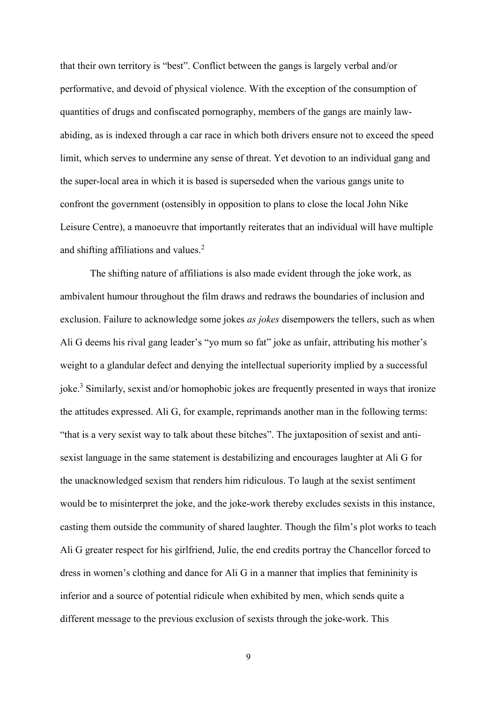that their own territory is "best". Conflict between the gangs is largely verbal and/or performative, and devoid of physical violence. With the exception of the consumption of quantities of drugs and confiscated pornography, members of the gangs are mainly lawabiding, as is indexed through a car race in which both drivers ensure not to exceed the speed limit, which serves to undermine any sense of threat. Yet devotion to an individual gang and the super-local area in which it is based is superseded when the various gangs unite to confront the government (ostensibly in opposition to plans to close the local John Nike Leisure Centre), a manoeuvre that importantly reiterates that an individual will have multiple and shifting affiliations and values.<sup>2</sup>

The shifting nature of affiliations is also made evident through the joke work, as ambivalent humour throughout the film draws and redraws the boundaries of inclusion and exclusion. Failure to acknowledge some jokes *as jokes* disempowers the tellers, such as when Ali G deems his rival gang leader's "yo mum so fat" joke as unfair, attributing his mother's weight to a glandular defect and denying the intellectual superiority implied by a successful joke.<sup>3</sup> Similarly, sexist and/or homophobic jokes are frequently presented in ways that ironize the attitudes expressed. Ali G, for example, reprimands another man in the following terms: "that is a very sexist way to talk about these bitches". The juxtaposition of sexist and antisexist language in the same statement is destabilizing and encourages laughter at Ali G for the unacknowledged sexism that renders him ridiculous. To laugh at the sexist sentiment would be to misinterpret the joke, and the joke-work thereby excludes sexists in this instance, casting them outside the community of shared laughter. Though the film's plot works to teach Ali G greater respect for his girlfriend, Julie, the end credits portray the Chancellor forced to dress in women's clothing and dance for Ali G in a manner that implies that femininity is inferior and a source of potential ridicule when exhibited by men, which sends quite a different message to the previous exclusion of sexists through the joke-work. This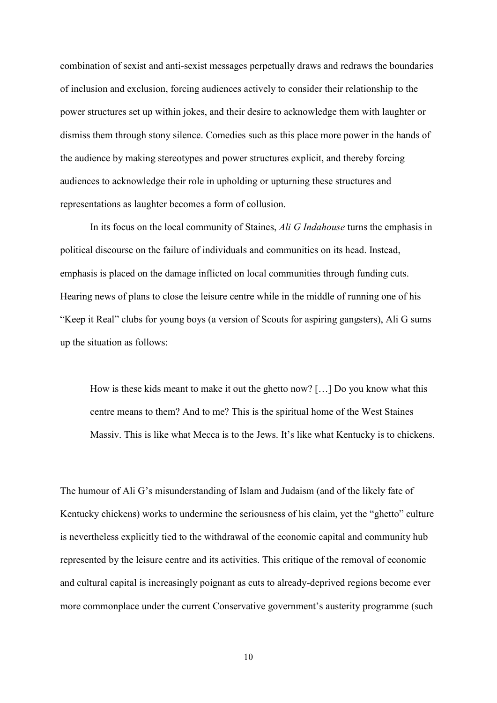combination of sexist and anti-sexist messages perpetually draws and redraws the boundaries of inclusion and exclusion, forcing audiences actively to consider their relationship to the power structures set up within jokes, and their desire to acknowledge them with laughter or dismiss them through stony silence. Comedies such as this place more power in the hands of the audience by making stereotypes and power structures explicit, and thereby forcing audiences to acknowledge their role in upholding or upturning these structures and representations as laughter becomes a form of collusion.

In its focus on the local community of Staines, *Ali G Indahouse* turns the emphasis in political discourse on the failure of individuals and communities on its head. Instead, emphasis is placed on the damage inflicted on local communities through funding cuts. Hearing news of plans to close the leisure centre while in the middle of running one of his "Keep it Real" clubs for young boys (a version of Scouts for aspiring gangsters), Ali G sums up the situation as follows:

How is these kids meant to make it out the ghetto now? […] Do you know what this centre means to them? And to me? This is the spiritual home of the West Staines Massiv. This is like what Mecca is to the Jews. It's like what Kentucky is to chickens.

The humour of Ali G's misunderstanding of Islam and Judaism (and of the likely fate of Kentucky chickens) works to undermine the seriousness of his claim, yet the "ghetto" culture is nevertheless explicitly tied to the withdrawal of the economic capital and community hub represented by the leisure centre and its activities. This critique of the removal of economic and cultural capital is increasingly poignant as cuts to already-deprived regions become ever more commonplace under the current Conservative government's austerity programme (such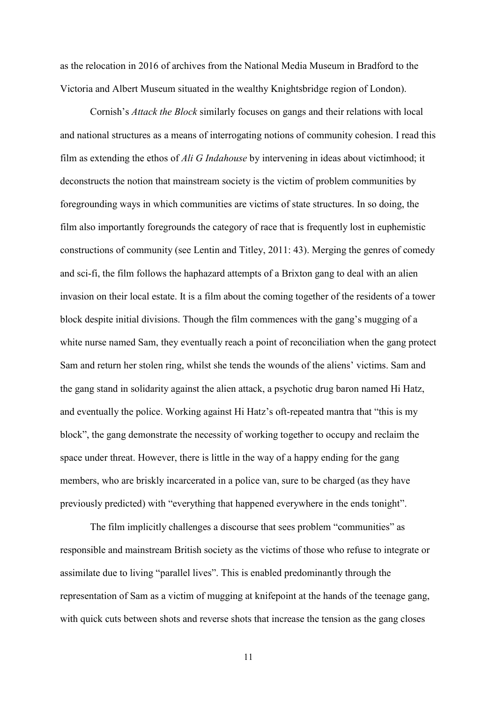as the relocation in 2016 of archives from the National Media Museum in Bradford to the Victoria and Albert Museum situated in the wealthy Knightsbridge region of London).

Cornish's *Attack the Block* similarly focuses on gangs and their relations with local and national structures as a means of interrogating notions of community cohesion. I read this film as extending the ethos of *Ali G Indahouse* by intervening in ideas about victimhood; it deconstructs the notion that mainstream society is the victim of problem communities by foregrounding ways in which communities are victims of state structures. In so doing, the film also importantly foregrounds the category of race that is frequently lost in euphemistic constructions of community (see Lentin and Titley, 2011: 43). Merging the genres of comedy and sci-fi, the film follows the haphazard attempts of a Brixton gang to deal with an alien invasion on their local estate. It is a film about the coming together of the residents of a tower block despite initial divisions. Though the film commences with the gang's mugging of a white nurse named Sam, they eventually reach a point of reconciliation when the gang protect Sam and return her stolen ring, whilst she tends the wounds of the aliens' victims. Sam and the gang stand in solidarity against the alien attack, a psychotic drug baron named Hi Hatz, and eventually the police. Working against Hi Hatz's oft-repeated mantra that "this is my block", the gang demonstrate the necessity of working together to occupy and reclaim the space under threat. However, there is little in the way of a happy ending for the gang members, who are briskly incarcerated in a police van, sure to be charged (as they have previously predicted) with "everything that happened everywhere in the ends tonight".

The film implicitly challenges a discourse that sees problem "communities" as responsible and mainstream British society as the victims of those who refuse to integrate or assimilate due to living "parallel lives". This is enabled predominantly through the representation of Sam as a victim of mugging at knifepoint at the hands of the teenage gang, with quick cuts between shots and reverse shots that increase the tension as the gang closes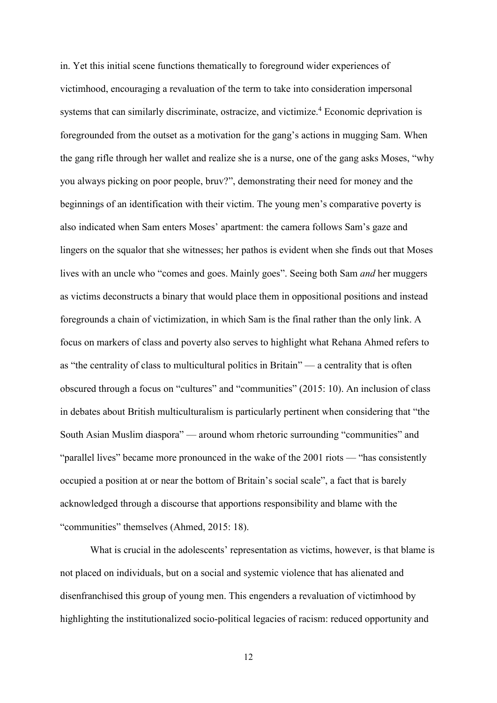in. Yet this initial scene functions thematically to foreground wider experiences of victimhood, encouraging a revaluation of the term to take into consideration impersonal systems that can similarly discriminate, ostracize, and victimize.<sup>4</sup> Economic deprivation is foregrounded from the outset as a motivation for the gang's actions in mugging Sam. When the gang rifle through her wallet and realize she is a nurse, one of the gang asks Moses, "why you always picking on poor people, bruv?", demonstrating their need for money and the beginnings of an identification with their victim. The young men's comparative poverty is also indicated when Sam enters Moses' apartment: the camera follows Sam's gaze and lingers on the squalor that she witnesses; her pathos is evident when she finds out that Moses lives with an uncle who "comes and goes. Mainly goes". Seeing both Sam *and* her muggers as victims deconstructs a binary that would place them in oppositional positions and instead foregrounds a chain of victimization, in which Sam is the final rather than the only link. A focus on markers of class and poverty also serves to highlight what Rehana Ahmed refers to as "the centrality of class to multicultural politics in Britain" — a centrality that is often obscured through a focus on "cultures" and "communities" (2015: 10). An inclusion of class in debates about British multiculturalism is particularly pertinent when considering that "the South Asian Muslim diaspora" — around whom rhetoric surrounding "communities" and "parallel lives" became more pronounced in the wake of the 2001 riots — "has consistently occupied a position at or near the bottom of Britain's social scale", a fact that is barely acknowledged through a discourse that apportions responsibility and blame with the "communities" themselves (Ahmed, 2015: 18).

What is crucial in the adolescents' representation as victims, however, is that blame is not placed on individuals, but on a social and systemic violence that has alienated and disenfranchised this group of young men. This engenders a revaluation of victimhood by highlighting the institutionalized socio-political legacies of racism: reduced opportunity and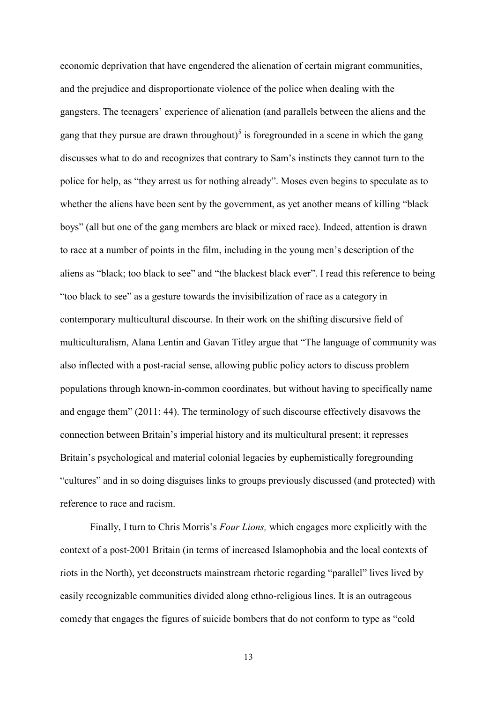economic deprivation that have engendered the alienation of certain migrant communities, and the prejudice and disproportionate violence of the police when dealing with the gangsters. The teenagers' experience of alienation (and parallels between the aliens and the gang that they pursue are drawn throughout)<sup>5</sup> is foregrounded in a scene in which the gang discusses what to do and recognizes that contrary to Sam's instincts they cannot turn to the police for help, as "they arrest us for nothing already". Moses even begins to speculate as to whether the aliens have been sent by the government, as yet another means of killing "black boys" (all but one of the gang members are black or mixed race). Indeed, attention is drawn to race at a number of points in the film, including in the young men's description of the aliens as "black; too black to see" and "the blackest black ever". I read this reference to being "too black to see" as a gesture towards the invisibilization of race as a category in contemporary multicultural discourse. In their work on the shifting discursive field of multiculturalism, Alana Lentin and Gavan Titley argue that "The language of community was also inflected with a post-racial sense, allowing public policy actors to discuss problem populations through known-in-common coordinates, but without having to specifically name and engage them" (2011: 44). The terminology of such discourse effectively disavows the connection between Britain's imperial history and its multicultural present; it represses Britain's psychological and material colonial legacies by euphemistically foregrounding "cultures" and in so doing disguises links to groups previously discussed (and protected) with reference to race and racism.

Finally, I turn to Chris Morris's *Four Lions,* which engages more explicitly with the context of a post-2001 Britain (in terms of increased Islamophobia and the local contexts of riots in the North), yet deconstructs mainstream rhetoric regarding "parallel" lives lived by easily recognizable communities divided along ethno-religious lines. It is an outrageous comedy that engages the figures of suicide bombers that do not conform to type as "cold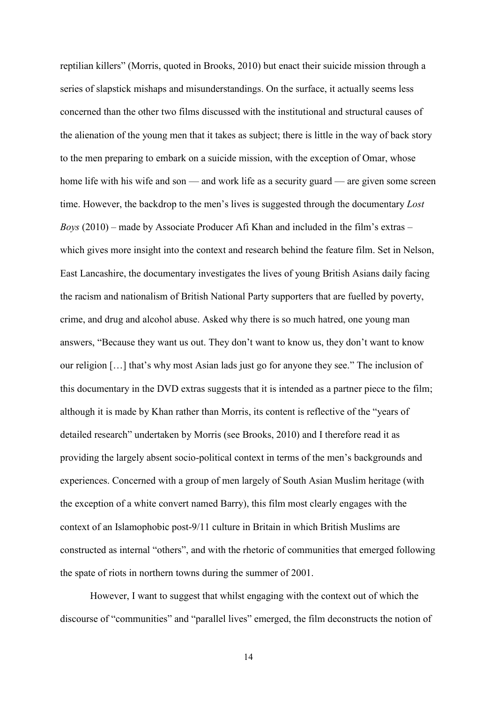reptilian killers" (Morris, quoted in Brooks, 2010) but enact their suicide mission through a series of slapstick mishaps and misunderstandings. On the surface, it actually seems less concerned than the other two films discussed with the institutional and structural causes of the alienation of the young men that it takes as subject; there is little in the way of back story to the men preparing to embark on a suicide mission, with the exception of Omar, whose home life with his wife and son — and work life as a security guard — are given some screen time. However, the backdrop to the men's lives is suggested through the documentary *Lost Boys* (2010) – made by Associate Producer Afi Khan and included in the film's extras – which gives more insight into the context and research behind the feature film. Set in Nelson, East Lancashire, the documentary investigates the lives of young British Asians daily facing the racism and nationalism of British National Party supporters that are fuelled by poverty, crime, and drug and alcohol abuse. Asked why there is so much hatred, one young man answers, "Because they want us out. They don't want to know us, they don't want to know our religion […] that's why most Asian lads just go for anyone they see." The inclusion of this documentary in the DVD extras suggests that it is intended as a partner piece to the film; although it is made by Khan rather than Morris, its content is reflective of the "years of detailed research" undertaken by Morris (see Brooks, 2010) and I therefore read it as providing the largely absent socio-political context in terms of the men's backgrounds and experiences. Concerned with a group of men largely of South Asian Muslim heritage (with the exception of a white convert named Barry), this film most clearly engages with the context of an Islamophobic post-9/11 culture in Britain in which British Muslims are constructed as internal "others", and with the rhetoric of communities that emerged following the spate of riots in northern towns during the summer of 2001.

However, I want to suggest that whilst engaging with the context out of which the discourse of "communities" and "parallel lives" emerged, the film deconstructs the notion of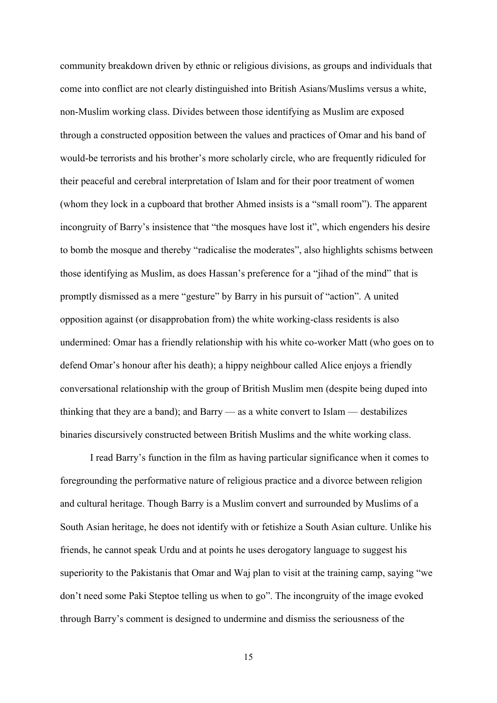community breakdown driven by ethnic or religious divisions, as groups and individuals that come into conflict are not clearly distinguished into British Asians/Muslims versus a white, non-Muslim working class. Divides between those identifying as Muslim are exposed through a constructed opposition between the values and practices of Omar and his band of would-be terrorists and his brother's more scholarly circle, who are frequently ridiculed for their peaceful and cerebral interpretation of Islam and for their poor treatment of women (whom they lock in a cupboard that brother Ahmed insists is a "small room"). The apparent incongruity of Barry's insistence that "the mosques have lost it", which engenders his desire to bomb the mosque and thereby "radicalise the moderates", also highlights schisms between those identifying as Muslim, as does Hassan's preference for a "jihad of the mind" that is promptly dismissed as a mere "gesture" by Barry in his pursuit of "action". A united opposition against (or disapprobation from) the white working-class residents is also undermined: Omar has a friendly relationship with his white co-worker Matt (who goes on to defend Omar's honour after his death); a hippy neighbour called Alice enjoys a friendly conversational relationship with the group of British Muslim men (despite being duped into thinking that they are a band); and Barry — as a white convert to Islam — destabilizes binaries discursively constructed between British Muslims and the white working class.

I read Barry's function in the film as having particular significance when it comes to foregrounding the performative nature of religious practice and a divorce between religion and cultural heritage. Though Barry is a Muslim convert and surrounded by Muslims of a South Asian heritage, he does not identify with or fetishize a South Asian culture. Unlike his friends, he cannot speak Urdu and at points he uses derogatory language to suggest his superiority to the Pakistanis that Omar and Waj plan to visit at the training camp, saying "we don't need some Paki Steptoe telling us when to go". The incongruity of the image evoked through Barry's comment is designed to undermine and dismiss the seriousness of the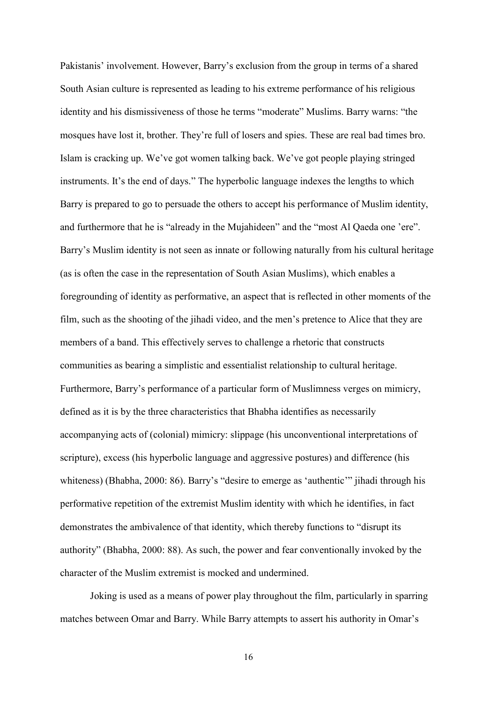Pakistanis' involvement. However, Barry's exclusion from the group in terms of a shared South Asian culture is represented as leading to his extreme performance of his religious identity and his dismissiveness of those he terms "moderate" Muslims. Barry warns: "the mosques have lost it, brother. They're full of losers and spies. These are real bad times bro. Islam is cracking up. We've got women talking back. We've got people playing stringed instruments. It's the end of days." The hyperbolic language indexes the lengths to which Barry is prepared to go to persuade the others to accept his performance of Muslim identity, and furthermore that he is "already in the Mujahideen" and the "most Al Qaeda one 'ere". Barry's Muslim identity is not seen as innate or following naturally from his cultural heritage (as is often the case in the representation of South Asian Muslims), which enables a foregrounding of identity as performative, an aspect that is reflected in other moments of the film, such as the shooting of the jihadi video, and the men's pretence to Alice that they are members of a band. This effectively serves to challenge a rhetoric that constructs communities as bearing a simplistic and essentialist relationship to cultural heritage. Furthermore, Barry's performance of a particular form of Muslimness verges on mimicry, defined as it is by the three characteristics that Bhabha identifies as necessarily accompanying acts of (colonial) mimicry: slippage (his unconventional interpretations of scripture), excess (his hyperbolic language and aggressive postures) and difference (his whiteness) (Bhabha, 2000: 86). Barry's "desire to emerge as 'authentic'" jihadi through his performative repetition of the extremist Muslim identity with which he identifies, in fact demonstrates the ambivalence of that identity, which thereby functions to "disrupt its authority" (Bhabha, 2000: 88). As such, the power and fear conventionally invoked by the character of the Muslim extremist is mocked and undermined.

Joking is used as a means of power play throughout the film, particularly in sparring matches between Omar and Barry. While Barry attempts to assert his authority in Omar's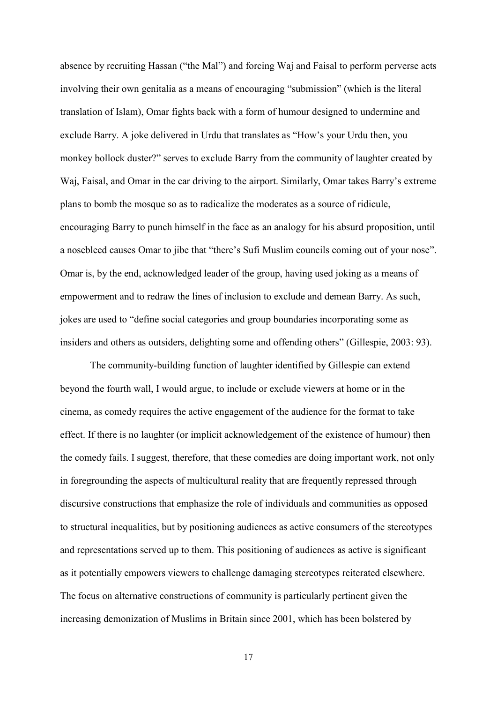absence by recruiting Hassan ("the Mal") and forcing Waj and Faisal to perform perverse acts involving their own genitalia as a means of encouraging "submission" (which is the literal translation of Islam), Omar fights back with a form of humour designed to undermine and exclude Barry. A joke delivered in Urdu that translates as "How's your Urdu then, you monkey bollock duster?" serves to exclude Barry from the community of laughter created by Waj, Faisal, and Omar in the car driving to the airport. Similarly, Omar takes Barry's extreme plans to bomb the mosque so as to radicalize the moderates as a source of ridicule, encouraging Barry to punch himself in the face as an analogy for his absurd proposition, until a nosebleed causes Omar to jibe that "there's Sufi Muslim councils coming out of your nose". Omar is, by the end, acknowledged leader of the group, having used joking as a means of empowerment and to redraw the lines of inclusion to exclude and demean Barry. As such, jokes are used to "define social categories and group boundaries incorporating some as insiders and others as outsiders, delighting some and offending others" (Gillespie, 2003: 93).

The community-building function of laughter identified by Gillespie can extend beyond the fourth wall, I would argue, to include or exclude viewers at home or in the cinema, as comedy requires the active engagement of the audience for the format to take effect. If there is no laughter (or implicit acknowledgement of the existence of humour) then the comedy fails. I suggest, therefore, that these comedies are doing important work, not only in foregrounding the aspects of multicultural reality that are frequently repressed through discursive constructions that emphasize the role of individuals and communities as opposed to structural inequalities, but by positioning audiences as active consumers of the stereotypes and representations served up to them. This positioning of audiences as active is significant as it potentially empowers viewers to challenge damaging stereotypes reiterated elsewhere. The focus on alternative constructions of community is particularly pertinent given the increasing demonization of Muslims in Britain since 2001, which has been bolstered by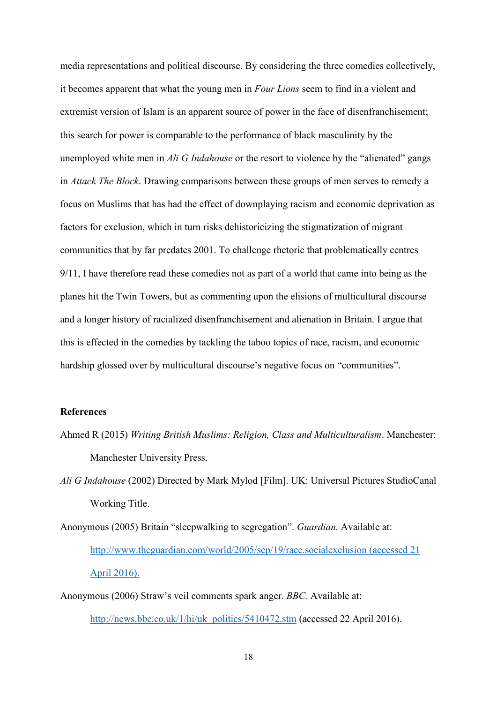media representations and political discourse. By considering the three comedies collectively, it becomes apparent that what the young men in *Four Lions* seem to find in a violent and extremist version of Islam is an apparent source of power in the face of disenfranchisement; this search for power is comparable to the performance of black masculinity by the unemployed white men in *Ali G Indahouse* or the resort to violence by the "alienated" gangs in *Attack The Block*. Drawing comparisons between these groups of men serves to remedy a focus on Muslims that has had the effect of downplaying racism and economic deprivation as factors for exclusion, which in turn risks dehistoricizing the stigmatization of migrant communities that by far predates 2001. To challenge rhetoric that problematically centres 9/11, I have therefore read these comedies not as part of a world that came into being as the planes hit the Twin Towers, but as commenting upon the elisions of multicultural discourse and a longer history of racialized disenfranchisement and alienation in Britain. I argue that this is effected in the comedies by tackling the taboo topics of race, racism, and economic hardship glossed over by multicultural discourse's negative focus on "communities".

## **References**

- Ahmed R (2015) *Writing British Muslims: Religion, Class and Multiculturalism*. Manchester: Manchester University Press.
- *Ali G Indahouse* (2002) Directed by Mark Mylod [Film]. UK: Universal Pictures StudioCanal Working Title.
- Anonymous (2005) Britain "sleepwalking to segregation". *Guardian.* Available at: <http://www.theguardian.com/world/2005/sep/19/race.socialexclusion> (accessed 21 April 2016).

Anonymous (2006) Straw's veil comments spark anger. *BBC.* Available at: [http://news.bbc.co.uk/1/hi/uk\\_politics/5410472.stm](http://news.bbc.co.uk/1/hi/uk_politics/5410472.stm) (accessed 22 April 2016).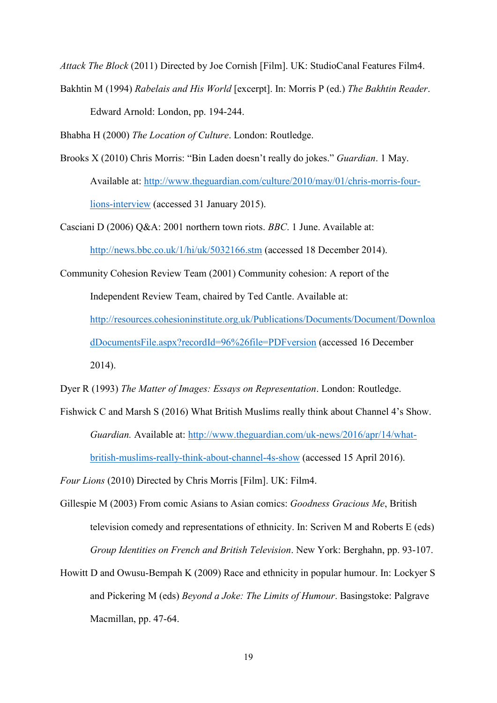*Attack The Block* (2011) Directed by Joe Cornish [Film]. UK: StudioCanal Features Film4.

Bakhtin M (1994) *Rabelais and His World* [excerpt]. In: Morris P (ed.) *The Bakhtin Reader*. Edward Arnold: London, pp. 194-244.

Bhabha H (2000) *The Location of Culture*. London: Routledge.

- Brooks X (2010) Chris Morris: "Bin Laden doesn't really do jokes." *Guardian*. 1 May. Available at: [http://www.theguardian.com/culture/2010/may/01/chris-morris-four](http://www.theguardian.com/culture/2010/may/01/chris-morris-four-lions-interview)[lions-interview](http://www.theguardian.com/culture/2010/may/01/chris-morris-four-lions-interview) (accessed 31 January 2015).
- Casciani D (2006) Q&A: 2001 northern town riots. *BBC*. 1 June. Available at: <http://news.bbc.co.uk/1/hi/uk/5032166.stm>(accessed 18 December 2014).
- Community Cohesion Review Team (2001) Community cohesion: A report of the Independent Review Team, chaired by Ted Cantle. Available at: [http://resources.cohesioninstitute.org.uk/Publications/Documents/Document/Downloa](http://resources.cohesioninstitute.org.uk/Publications/Documents/Document/DownloadDocumentsFile.aspx?recordId=96%26file=PDFversion)

[dDocumentsFile.aspx?recordId=96%26file=PDFversion](http://resources.cohesioninstitute.org.uk/Publications/Documents/Document/DownloadDocumentsFile.aspx?recordId=96%26file=PDFversion) (accessed 16 December 2014).

Dyer R (1993) *The Matter of Images: Essays on Representation*. London: Routledge.

Fishwick C and Marsh S (2016) What British Muslims really think about Channel 4's Show. *Guardian.* Available at: [http://www.theguardian.com/uk-news/2016/apr/14/what](http://www.theguardian.com/uk-news/2016/apr/14/what-british-muslims-really-think-about-channel-4s-show)[british-muslims-really-think-about-channel-4s-show](http://www.theguardian.com/uk-news/2016/apr/14/what-british-muslims-really-think-about-channel-4s-show) (accessed 15 April 2016).

*Four Lions* (2010) Directed by Chris Morris [Film]. UK: Film4.

- Gillespie M (2003) From comic Asians to Asian comics: *Goodness Gracious Me*, British television comedy and representations of ethnicity. In: Scriven M and Roberts E (eds) *Group Identities on French and British Television*. New York: Berghahn, pp. 93-107.
- Howitt D and Owusu-Bempah K (2009) Race and ethnicity in popular humour. In: Lockyer S and Pickering M (eds) *Beyond a Joke: The Limits of Humour*. Basingstoke: Palgrave Macmillan, pp. 47-64.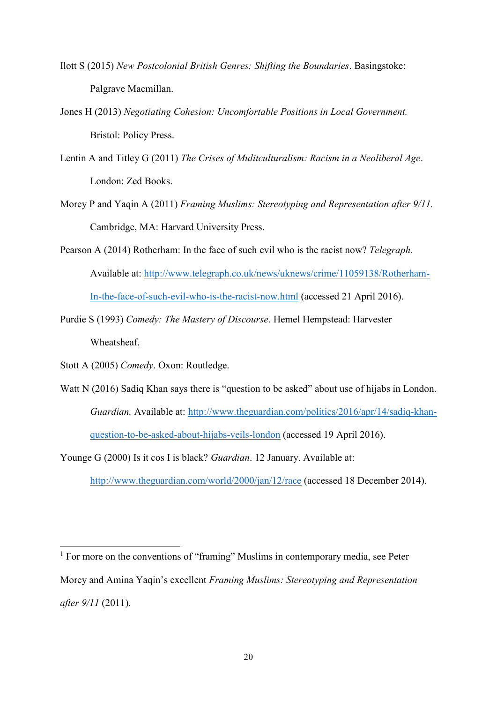- Ilott S (2015) *New Postcolonial British Genres: Shifting the Boundaries*. Basingstoke: Palgrave Macmillan.
- Jones H (2013) *Negotiating Cohesion: Uncomfortable Positions in Local Government.*  Bristol: Policy Press.
- Lentin A and Titley G (2011) *The Crises of Mulitculturalism: Racism in a Neoliberal Age*. London: Zed Books.
- Morey P and Yaqin A (2011) *Framing Muslims: Stereotyping and Representation after 9/11.*  Cambridge, MA: Harvard University Press.
- Pearson A (2014) Rotherham: In the face of such evil who is the racist now? *Telegraph.*  Available at: [http://www.telegraph.co.uk/news/uknews/crime/11059138/Rotherham-](http://www.telegraph.co.uk/news/uknews/crime/11059138/Rotherham-In-the-face-of-such-evil-who-is-the-racist-now.html)[In-the-face-of-such-evil-who-is-the-racist-now.html](http://www.telegraph.co.uk/news/uknews/crime/11059138/Rotherham-In-the-face-of-such-evil-who-is-the-racist-now.html) (accessed 21 April 2016).
- Purdie S (1993) *Comedy: The Mastery of Discourse*. Hemel Hempstead: Harvester Wheatsheaf.
- Stott A (2005) *Comedy*. Oxon: Routledge.

 $\overline{a}$ 

- Watt N (2016) Sadiq Khan says there is "question to be asked" about use of hijabs in London. *Guardian.* Available at: [http://www.theguardian.com/politics/2016/apr/14/sadiq-khan](http://www.theguardian.com/politics/2016/apr/14/sadiq-khan-question-to-be-asked-about-hijabs-veils-london)[question-to-be-asked-about-hijabs-veils-london](http://www.theguardian.com/politics/2016/apr/14/sadiq-khan-question-to-be-asked-about-hijabs-veils-london) (accessed 19 April 2016).
- Younge G (2000) Is it cos I is black? *Guardian*. 12 January. Available at:

<http://www.theguardian.com/world/2000/jan/12/race> (accessed 18 December 2014).

<sup>&</sup>lt;sup>1</sup> For more on the conventions of "framing" Muslims in contemporary media, see Peter Morey and Amina Yaqin's excellent *Framing Muslims: Stereotyping and Representation after 9/11* (2011).